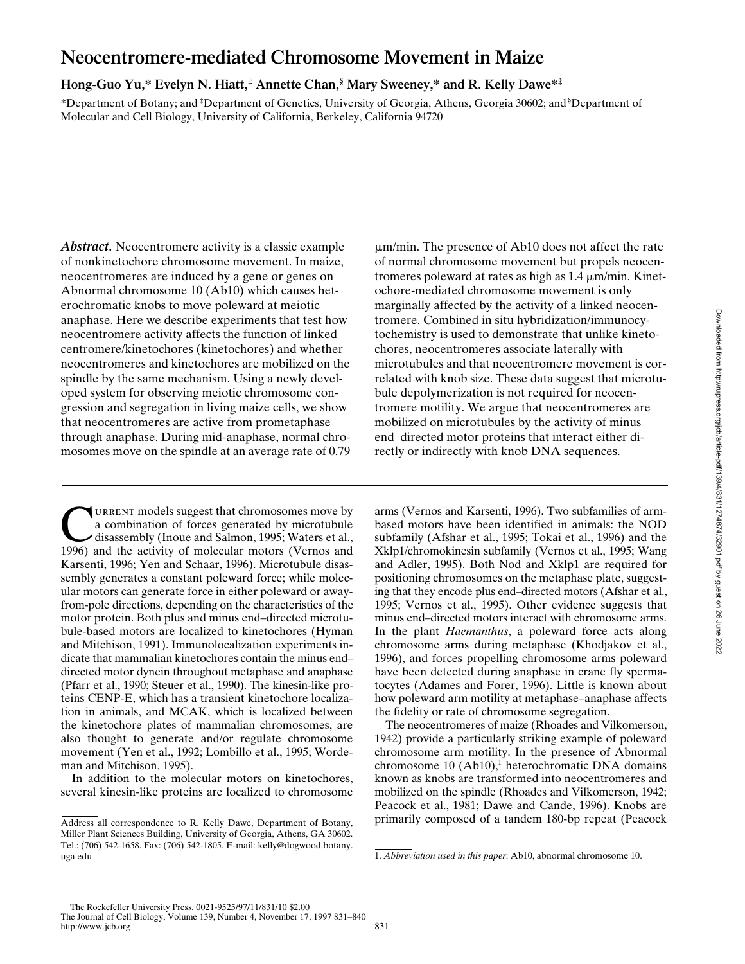# **Neocentromere-mediated Chromosome Movement in Maize**

# **Hong-Guo Yu,\* Evelyn N. Hiatt,‡ Annette Chan,§ Mary Sweeney,\* and R. Kelly Dawe\*‡**

\*Department of Botany; and ‡ Department of Genetics, University of Georgia, Athens, Georgia 30602; and § Department of Molecular and Cell Biology, University of California, Berkeley, California 94720

*Abstract.* Neocentromere activity is a classic example of nonkinetochore chromosome movement. In maize, neocentromeres are induced by a gene or genes on Abnormal chromosome 10 (Ab10) which causes heterochromatic knobs to move poleward at meiotic anaphase. Here we describe experiments that test how neocentromere activity affects the function of linked centromere/kinetochores (kinetochores) and whether neocentromeres and kinetochores are mobilized on the spindle by the same mechanism. Using a newly developed system for observing meiotic chromosome congression and segregation in living maize cells, we show that neocentromeres are active from prometaphase through anaphase. During mid-anaphase, normal chromosomes move on the spindle at an average rate of 0.79

URRENT models suggest that chromosomes move by<br>a combination of forces generated by microtubule<br>disassembly (Inoue and Salmon, 1995; Waters et al.,<br>1996) and the activity of molecular motors (Vernos and a combination of forces generated by microtubule 1996) and the activity of molecular motors (Vernos and Karsenti, 1996; Yen and Schaar, 1996). Microtubule disassembly generates a constant poleward force; while molecular motors can generate force in either poleward or awayfrom-pole directions, depending on the characteristics of the motor protein. Both plus and minus end–directed microtubule-based motors are localized to kinetochores (Hyman and Mitchison, 1991). Immunolocalization experiments indicate that mammalian kinetochores contain the minus end– directed motor dynein throughout metaphase and anaphase (Pfarr et al., 1990; Steuer et al., 1990). The kinesin-like proteins CENP-E, which has a transient kinetochore localization in animals, and MCAK, which is localized between the kinetochore plates of mammalian chromosomes, are also thought to generate and/or regulate chromosome movement (Yen et al., 1992; Lombillo et al., 1995; Wordeman and Mitchison, 1995).

In addition to the molecular motors on kinetochores, several kinesin-like proteins are localized to chromosome

 $\mu$ m/min. The presence of Ab10 does not affect the rate of normal chromosome movement but propels neocentromeres poleward at rates as high as  $1.4 \mu m/min$ . Kinetochore-mediated chromosome movement is only marginally affected by the activity of a linked neocentromere. Combined in situ hybridization/immunocytochemistry is used to demonstrate that unlike kinetochores, neocentromeres associate laterally with microtubules and that neocentromere movement is correlated with knob size. These data suggest that microtubule depolymerization is not required for neocentromere motility. We argue that neocentromeres are mobilized on microtubules by the activity of minus end–directed motor proteins that interact either directly or indirectly with knob DNA sequences.

arms (Vernos and Karsenti, 1996). Two subfamilies of armbased motors have been identified in animals: the NOD subfamily (Afshar et al., 1995; Tokai et al., 1996) and the Xklp1/chromokinesin subfamily (Vernos et al., 1995; Wang and Adler, 1995). Both Nod and Xklp1 are required for positioning chromosomes on the metaphase plate, suggesting that they encode plus end–directed motors (Afshar et al., 1995; Vernos et al., 1995). Other evidence suggests that minus end–directed motors interact with chromosome arms. In the plant *Haemanthus*, a poleward force acts along chromosome arms during metaphase (Khodjakov et al., 1996), and forces propelling chromosome arms poleward have been detected during anaphase in crane fly spermatocytes (Adames and Forer, 1996). Little is known about how poleward arm motility at metaphase–anaphase affects the fidelity or rate of chromosome segregation.

The neocentromeres of maize (Rhoades and Vilkomerson, 1942) provide a particularly striking example of poleward chromosome arm motility. In the presence of Abnormal chromosome  $10 \text{ (Ab10)}$ ,<sup>1</sup> heterochromatic DNA domains known as knobs are transformed into neocentromeres and mobilized on the spindle (Rhoades and Vilkomerson, 1942; Peacock et al., 1981; Dawe and Cande, 1996). Knobs are primarily composed of a tandem 180-bp repeat (Peacock

Address all correspondence to R. Kelly Dawe, Department of Botany, Miller Plant Sciences Building, University of Georgia, Athens, GA 30602. Tel.: (706) 542-1658. Fax: (706) 542-1805. E-mail: kelly@dogwood.botany. uga.edu

<sup>1.</sup> *Abbreviation used in this paper*: Ab10, abnormal chromosome 10.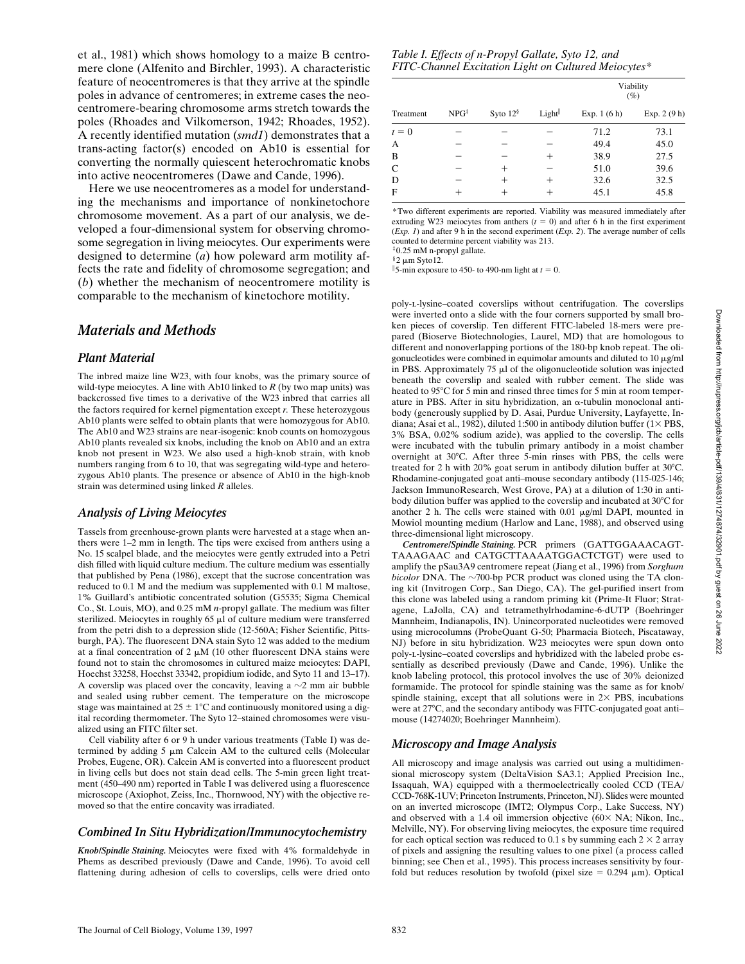et al., 1981) which shows homology to a maize B centromere clone (Alfenito and Birchler, 1993). A characteristic feature of neocentromeres is that they arrive at the spindle poles in advance of centromeres; in extreme cases the neocentromere-bearing chromosome arms stretch towards the poles (Rhoades and Vilkomerson, 1942; Rhoades, 1952). A recently identified mutation (*smd1*) demonstrates that a trans-acting factor(s) encoded on Ab10 is essential for converting the normally quiescent heterochromatic knobs into active neocentromeres (Dawe and Cande, 1996).

Here we use neocentromeres as a model for understanding the mechanisms and importance of nonkinetochore chromosome movement. As a part of our analysis, we developed a four-dimensional system for observing chromosome segregation in living meiocytes. Our experiments were designed to determine (*a*) how poleward arm motility affects the rate and fidelity of chromosome segregation; and (*b*) whether the mechanism of neocentromere motility is comparable to the mechanism of kinetochore motility.

## *Materials and Methods*

#### *Plant Material*

The inbred maize line W23, with four knobs, was the primary source of wild-type meiocytes. A line with Ab10 linked to  $R$  (by two map units) was backcrossed five times to a derivative of the W23 inbred that carries all the factors required for kernel pigmentation except *r.* These heterozygous Ab10 plants were selfed to obtain plants that were homozygous for Ab10. The Ab10 and W23 strains are near-isogenic: knob counts on homozygous Ab10 plants revealed six knobs, including the knob on Ab10 and an extra knob not present in W23. We also used a high-knob strain, with knob numbers ranging from 6 to 10, that was segregating wild-type and heterozygous Ab10 plants. The presence or absence of Ab10 in the high-knob strain was determined using linked *R* alleles.

## *Analysis of Living Meiocytes*

Tassels from greenhouse-grown plants were harvested at a stage when anthers were 1–2 mm in length. The tips were excised from anthers using a No. 15 scalpel blade, and the meiocytes were gently extruded into a Petri dish filled with liquid culture medium. The culture medium was essentially that published by Pena (1986), except that the sucrose concentration was reduced to 0.1 M and the medium was supplemented with 0.1 M maltose, 1% Guillard's antibiotic concentrated solution (G5535; Sigma Chemical Co., St. Louis, MO), and 0.25 mM *n*-propyl gallate. The medium was filter sterilized. Meiocytes in roughly  $65 \mu l$  of culture medium were transferred from the petri dish to a depression slide (12-560A; Fisher Scientific, Pittsburgh, PA). The fluorescent DNA stain Syto 12 was added to the medium at a final concentration of 2  $\mu$ M (10 other fluorescent DNA stains were found not to stain the chromosomes in cultured maize meiocytes: DAPI, Hoechst 33258, Hoechst 33342, propidium iodide, and Syto 11 and 13–17). A coverslip was placed over the concavity, leaving a  $\sim$ 2 mm air bubble and sealed using rubber cement. The temperature on the microscope stage was maintained at  $25 \pm 1^{\circ}$ C and continuously monitored using a digital recording thermometer. The Syto 12–stained chromosomes were visualized using an FITC filter set.

Cell viability after 6 or 9 h under various treatments (Table I) was determined by adding  $5 \mu m$  Calcein AM to the cultured cells (Molecular Probes, Eugene, OR). Calcein AM is converted into a fluorescent product in living cells but does not stain dead cells. The 5-min green light treatment (450–490 nm) reported in Table I was delivered using a fluorescence microscope (Axiophot, Zeiss, Inc., Thornwood, NY) with the objective removed so that the entire concavity was irradiated.

## *Combined In Situ Hybridization/Immunocytochemistry*

*Knob/Spindle Staining.* Meiocytes were fixed with 4% formaldehyde in Phems as described previously (Dawe and Cande, 1996). To avoid cell flattening during adhesion of cells to coverslips, cells were dried onto

*Table I. Effects of n-Propyl Gallate, Syto 12, and FITC-Channel Excitation Light on Cultured Meiocytes\**

|              |                  |            |        | Viability<br>$(\%)$ |              |
|--------------|------------------|------------|--------|---------------------|--------------|
| Treatment    | NPG <sup>‡</sup> | Syto $12§$ | Light  | Exp. $1(6h)$        | Exp. $2(9h)$ |
| $t = 0$      |                  |            |        | 71.2                | 73.1         |
| А            |                  |            |        | 49.4                | 45.0         |
| B            |                  |            | $^{+}$ | 38.9                | 27.5         |
| $\mathsf{C}$ |                  | $^+$       |        | 51.0                | 39.6         |
| D            |                  | $^+$       | $^{+}$ | 32.6                | 32.5         |
| F            | +                | +          | $^+$   | 45.1                | 45.8         |

\*Two different experiments are reported. Viability was measured immediately after extruding W23 meiocytes from anthers  $(t = 0)$  and after 6 h in the first experiment (*Exp. 1*) and after 9 h in the second experiment (*Exp. 2*). The average number of cells counted to determine percent viability was 213.

‡0.25 mM n-propyl gallate.  $§$ 2 u.m Syto12

5-min exposure to 450- to 490-nm light at  $t = 0$ .

poly-l-lysine–coated coverslips without centrifugation. The coverslips were inverted onto a slide with the four corners supported by small broken pieces of coverslip. Ten different FITC-labeled 18-mers were prepared (Bioserve Biotechnologies, Laurel, MD) that are homologous to different and nonoverlapping portions of the 180-bp knob repeat. The oligonucleotides were combined in equimolar amounts and diluted to  $10 \mu g/ml$ in PBS. Approximately  $75 \mu l$  of the oligonucleotide solution was injected beneath the coverslip and sealed with rubber cement. The slide was heated to 95°C for 5 min and rinsed three times for 5 min at room temperature in PBS. After in situ hybridization, an  $\alpha$ -tubulin monoclonal antibody (generously supplied by D. Asai, Purdue University, Layfayette, Indiana; Asai et al., 1982), diluted 1:500 in antibody dilution buffer  $(1 \times PBS$ , 3% BSA, 0.02% sodium azide), was applied to the coverslip. The cells were incubated with the tubulin primary antibody in a moist chamber overnight at 30°C. After three 5-min rinses with PBS, the cells were treated for 2 h with 20% goat serum in antibody dilution buffer at  $30^{\circ}$ C. Rhodamine-conjugated goat anti–mouse secondary antibody (115-025-146; Jackson ImmunoResearch, West Grove, PA) at a dilution of 1:30 in antibody dilution buffer was applied to the coverslip and incubated at  $30^{\circ}$ C for another 2 h. The cells were stained with  $0.01 \mu g/ml$  DAPI, mounted in Mowiol mounting medium (Harlow and Lane, 1988), and observed using three-dimensional light microscopy.

*Centromere/Spindle Staining.* PCR primers (GATTGGAAACAGT-TAAAGAAC and CATGCTTAAAATGGACTCTGT) were used to amplify the pSau3A9 centromere repeat (Jiang et al., 1996) from *Sorghum bicolor* DNA. The  $\sim$ 700-bp PCR product was cloned using the TA cloning kit (Invitrogen Corp., San Diego, CA). The gel-purified insert from this clone was labeled using a random priming kit (Prime-It Fluor; Stratagene, LaJolla, CA) and tetramethylrhodamine-6-dUTP (Boehringer Mannheim, Indianapolis, IN). Unincorporated nucleotides were removed using microcolumns (ProbeQuant G-50; Pharmacia Biotech, Piscataway, NJ) before in situ hybridization. W23 meiocytes were spun down onto poly-l-lysine–coated coverslips and hybridized with the labeled probe essentially as described previously (Dawe and Cande, 1996). Unlike the knob labeling protocol, this protocol involves the use of 30% deionized formamide. The protocol for spindle staining was the same as for knob/ spindle staining, except that all solutions were in  $2 \times$  PBS, incubations were at 27°C, and the secondary antibody was FITC-conjugated goat antimouse (14274020; Boehringer Mannheim).

## *Microscopy and Image Analysis*

All microscopy and image analysis was carried out using a multidimensional microscopy system (DeltaVision SA3.1; Applied Precision Inc., Issaquah, WA) equipped with a thermoelectrically cooled CCD (TEA/ CCD-768K-1UV; Princeton Instruments, Princeton, NJ). Slides were mounted on an inverted microscope (IMT2; Olympus Corp., Lake Success, NY) and observed with a 1.4 oil immersion objective  $(60 \times NA; Nikon, Inc.,$ Melville, NY). For observing living meiocytes, the exposure time required for each optical section was reduced to 0.1 s by summing each  $2 \times 2$  array of pixels and assigning the resulting values to one pixel (a process called binning; see Chen et al., 1995). This process increases sensitivity by fourfold but reduces resolution by twofold (pixel size  $= 0.294 \mu m$ ). Optical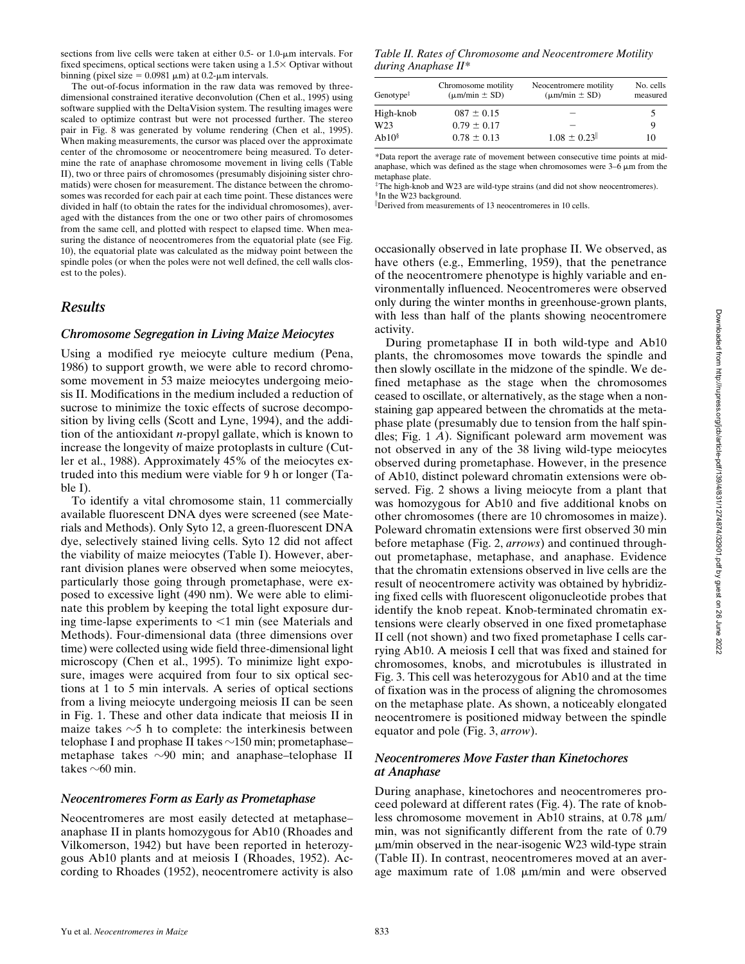sections from live cells were taken at either 0.5- or 1.0- $\mu$ m intervals. For fixed specimens, optical sections were taken using a  $1.5\times$  Optivar without binning (pixel size =  $0.0981 \mu m$ ) at 0.2- $\mu m$  intervals.

The out-of-focus information in the raw data was removed by threedimensional constrained iterative deconvolution (Chen et al., 1995) using software supplied with the DeltaVision system. The resulting images were scaled to optimize contrast but were not processed further. The stereo pair in Fig. 8 was generated by volume rendering (Chen et al., 1995). When making measurements, the cursor was placed over the approximate center of the chromosome or neocentromere being measured. To determine the rate of anaphase chromosome movement in living cells (Table II), two or three pairs of chromosomes (presumably disjoining sister chromatids) were chosen for measurement. The distance between the chromosomes was recorded for each pair at each time point. These distances were divided in half (to obtain the rates for the individual chromosomes), averaged with the distances from the one or two other pairs of chromosomes from the same cell, and plotted with respect to elapsed time. When measuring the distance of neocentromeres from the equatorial plate (see Fig. 10), the equatorial plate was calculated as the midway point between the spindle poles (or when the poles were not well defined, the cell walls closest to the poles).

## *Results*

#### *Chromosome Segregation in Living Maize Meiocytes*

Using a modified rye meiocyte culture medium (Pena, 1986) to support growth, we were able to record chromosome movement in 53 maize meiocytes undergoing meiosis II. Modifications in the medium included a reduction of sucrose to minimize the toxic effects of sucrose decomposition by living cells (Scott and Lyne, 1994), and the addition of the antioxidant *n*-propyl gallate, which is known to increase the longevity of maize protoplasts in culture (Cutler et al., 1988). Approximately 45% of the meiocytes extruded into this medium were viable for 9 h or longer (Table I).

To identify a vital chromosome stain, 11 commercially available fluorescent DNA dyes were screened (see Materials and Methods). Only Syto 12, a green-fluorescent DNA dye, selectively stained living cells. Syto 12 did not affect the viability of maize meiocytes (Table I). However, aberrant division planes were observed when some meiocytes, particularly those going through prometaphase, were exposed to excessive light (490 nm). We were able to eliminate this problem by keeping the total light exposure during time-lapse experiments to  $\leq 1$  min (see Materials and Methods). Four-dimensional data (three dimensions over time) were collected using wide field three-dimensional light microscopy (Chen et al., 1995). To minimize light exposure, images were acquired from four to six optical sections at 1 to 5 min intervals. A series of optical sections from a living meiocyte undergoing meiosis II can be seen in Fig. 1. These and other data indicate that meiosis II in maize takes  $\sim$ 5 h to complete: the interkinesis between telophase I and prophase II takes  $\sim$ 150 min; prometaphase– metaphase takes  $\sim$ 90 min; and anaphase–telophase II takes  $\sim$  60 min.

#### *Neocentromeres Form as Early as Prometaphase*

Neocentromeres are most easily detected at metaphase– anaphase II in plants homozygous for Ab10 (Rhoades and Vilkomerson, 1942) but have been reported in heterozygous Ab10 plants and at meiosis I (Rhoades, 1952). According to Rhoades (1952), neocentromere activity is also

*Table II. Rates of Chromosome and Neocentromere Motility during Anaphase II\**

| Genotype $\ddagger$ | Chromosome motility<br>$(\mu m/min \pm SD)$ | Neocentromere motility<br>$(\mu m/min \pm SD)$ | No. cells<br>measured |
|---------------------|---------------------------------------------|------------------------------------------------|-----------------------|
| High-knob           | $087 \pm 0.15$                              |                                                |                       |
| W <sub>23</sub>     | $0.79 \pm 0.17$                             |                                                | Q                     |
| Ab10 <sup>§</sup>   | $0.78 \pm 0.13$                             | $1.08 \pm 0.23$                                | 10                    |

\*Data report the average rate of movement between consecutive time points at midanaphase, which was defined as the stage when chromosomes were  $3-6 \mu m$  from the metaphase plate.

‡The high-knob and W23 are wild-type strains (and did not show neocentromeres). §In the W23 background.

Derived from measurements of 13 neocentromeres in 10 cells.

occasionally observed in late prophase II. We observed, as have others (e.g., Emmerling, 1959), that the penetrance of the neocentromere phenotype is highly variable and environmentally influenced. Neocentromeres were observed only during the winter months in greenhouse-grown plants, with less than half of the plants showing neocentromere activity.

During prometaphase II in both wild-type and Ab10 plants, the chromosomes move towards the spindle and then slowly oscillate in the midzone of the spindle. We defined metaphase as the stage when the chromosomes ceased to oscillate, or alternatively, as the stage when a nonstaining gap appeared between the chromatids at the metaphase plate (presumably due to tension from the half spindles; Fig. 1 *A*). Significant poleward arm movement was not observed in any of the 38 living wild-type meiocytes observed during prometaphase. However, in the presence of Ab10, distinct poleward chromatin extensions were observed. Fig. 2 shows a living meiocyte from a plant that was homozygous for Ab10 and five additional knobs on other chromosomes (there are 10 chromosomes in maize). Poleward chromatin extensions were first observed 30 min before metaphase (Fig. 2, *arrows*) and continued throughout prometaphase, metaphase, and anaphase. Evidence that the chromatin extensions observed in live cells are the result of neocentromere activity was obtained by hybridizing fixed cells with fluorescent oligonucleotide probes that identify the knob repeat. Knob-terminated chromatin extensions were clearly observed in one fixed prometaphase II cell (not shown) and two fixed prometaphase I cells carrying Ab10. A meiosis I cell that was fixed and stained for chromosomes, knobs, and microtubules is illustrated in Fig. 3. This cell was heterozygous for Ab10 and at the time of fixation was in the process of aligning the chromosomes on the metaphase plate. As shown, a noticeably elongated neocentromere is positioned midway between the spindle equator and pole (Fig. 3, *arrow*).

## *Neocentromeres Move Faster than Kinetochores at Anaphase*

During anaphase, kinetochores and neocentromeres proceed poleward at different rates (Fig. 4). The rate of knobless chromosome movement in Ab10 strains, at  $0.78 \mu m/$ min, was not significantly different from the rate of 0.79  $\mu$ m/min observed in the near-isogenic W23 wild-type strain (Table II). In contrast, neocentromeres moved at an average maximum rate of  $1.08 \mu m/min$  and were observed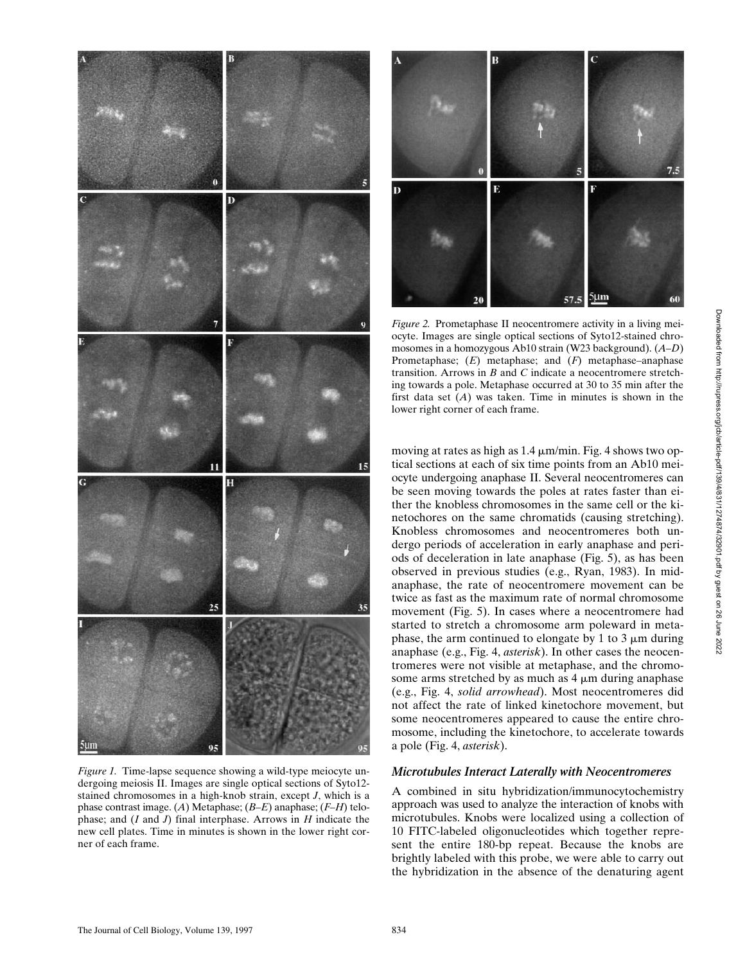

*Figure 1.* Time-lapse sequence showing a wild-type meiocyte undergoing meiosis II. Images are single optical sections of Syto12 stained chromosomes in a high-knob strain, except *J*, which is a phase contrast image. (*A*) Metaphase; (*B–E*) anaphase; (*F–H*) telophase; and (*I* and *J*) final interphase. Arrows in *H* indicate the new cell plates. Time in minutes is shown in the lower right corner of each frame.



*Figure 2.* Prometaphase II neocentromere activity in a living meiocyte. Images are single optical sections of Syto12-stained chromosomes in a homozygous Ab10 strain (W23 background). (*A–D*) Prometaphase; (*E*) metaphase; and (*F*) metaphase–anaphase transition. Arrows in *B* and *C* indicate a neocentromere stretching towards a pole. Metaphase occurred at 30 to 35 min after the first data set (*A*) was taken. Time in minutes is shown in the lower right corner of each frame.

moving at rates as high as  $1.4 \mu m/min$ . Fig. 4 shows two optical sections at each of six time points from an Ab10 meiocyte undergoing anaphase II. Several neocentromeres can be seen moving towards the poles at rates faster than either the knobless chromosomes in the same cell or the kinetochores on the same chromatids (causing stretching). Knobless chromosomes and neocentromeres both undergo periods of acceleration in early anaphase and periods of deceleration in late anaphase (Fig. 5), as has been observed in previous studies (e.g., Ryan, 1983). In midanaphase, the rate of neocentromere movement can be twice as fast as the maximum rate of normal chromosome movement (Fig. 5). In cases where a neocentromere had started to stretch a chromosome arm poleward in metaphase, the arm continued to elongate by 1 to 3  $\mu$ m during anaphase (e.g., Fig. 4, *asterisk*). In other cases the neocentromeres were not visible at metaphase, and the chromosome arms stretched by as much as  $4 \mu m$  during anaphase (e.g., Fig. 4, *solid arrowhead*). Most neocentromeres did not affect the rate of linked kinetochore movement, but some neocentromeres appeared to cause the entire chromosome, including the kinetochore, to accelerate towards a pole (Fig. 4, *asterisk*).

## *Microtubules Interact Laterally with Neocentromeres*

A combined in situ hybridization/immunocytochemistry approach was used to analyze the interaction of knobs with microtubules. Knobs were localized using a collection of 10 FITC-labeled oligonucleotides which together represent the entire 180-bp repeat. Because the knobs are brightly labeled with this probe, we were able to carry out the hybridization in the absence of the denaturing agent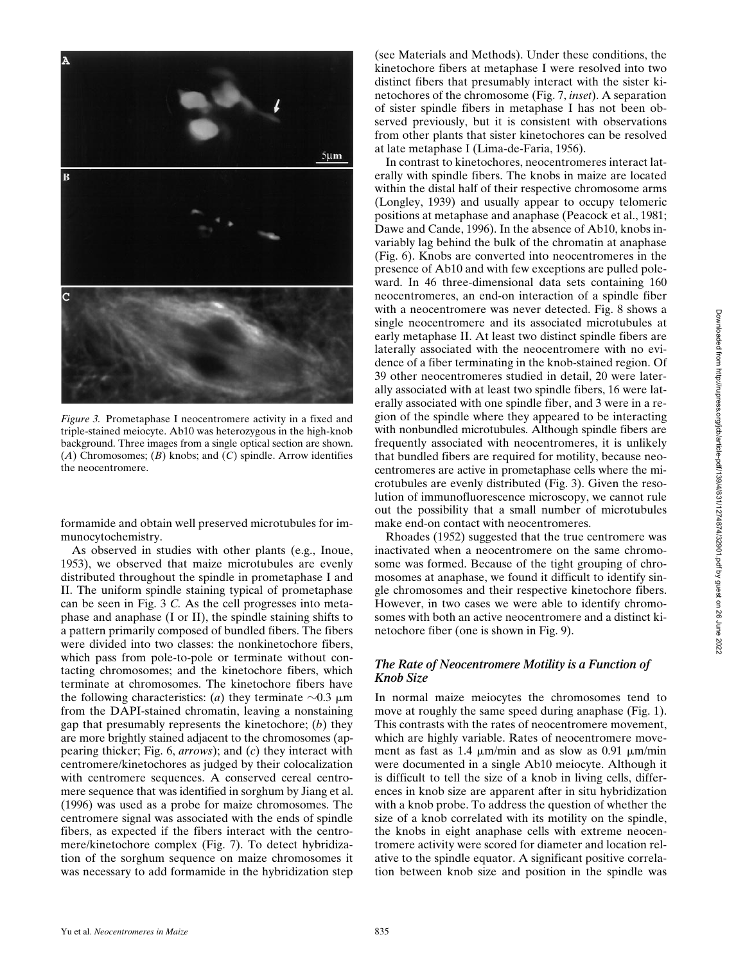

*Figure 3.* Prometaphase I neocentromere activity in a fixed and triple-stained meiocyte. Ab10 was heterozygous in the high-knob background. Three images from a single optical section are shown. (*A*) Chromosomes; (*B*) knobs; and (*C*) spindle. Arrow identifies the neocentromere.

formamide and obtain well preserved microtubules for immunocytochemistry.

As observed in studies with other plants (e.g., Inoue, 1953), we observed that maize microtubules are evenly distributed throughout the spindle in prometaphase I and II. The uniform spindle staining typical of prometaphase can be seen in Fig. 3 *C.* As the cell progresses into metaphase and anaphase (I or II), the spindle staining shifts to a pattern primarily composed of bundled fibers. The fibers were divided into two classes: the nonkinetochore fibers, which pass from pole-to-pole or terminate without contacting chromosomes; and the kinetochore fibers, which terminate at chromosomes. The kinetochore fibers have the following characteristics: (*a*) they terminate  $\sim 0.3 \mu m$ from the DAPI-stained chromatin, leaving a nonstaining gap that presumably represents the kinetochore; (*b*) they are more brightly stained adjacent to the chromosomes (appearing thicker; Fig. 6, *arrows*); and (*c*) they interact with centromere/kinetochores as judged by their colocalization with centromere sequences. A conserved cereal centromere sequence that was identified in sorghum by Jiang et al. (1996) was used as a probe for maize chromosomes. The centromere signal was associated with the ends of spindle fibers, as expected if the fibers interact with the centromere/kinetochore complex (Fig. 7). To detect hybridization of the sorghum sequence on maize chromosomes it was necessary to add formamide in the hybridization step (see Materials and Methods). Under these conditions, the kinetochore fibers at metaphase I were resolved into two distinct fibers that presumably interact with the sister kinetochores of the chromosome (Fig. 7, *inset*). A separation of sister spindle fibers in metaphase I has not been observed previously, but it is consistent with observations from other plants that sister kinetochores can be resolved at late metaphase I (Lima-de-Faria, 1956).

In contrast to kinetochores, neocentromeres interact laterally with spindle fibers. The knobs in maize are located within the distal half of their respective chromosome arms (Longley, 1939) and usually appear to occupy telomeric positions at metaphase and anaphase (Peacock et al., 1981; Dawe and Cande, 1996). In the absence of Ab10, knobs invariably lag behind the bulk of the chromatin at anaphase (Fig. 6). Knobs are converted into neocentromeres in the presence of Ab10 and with few exceptions are pulled poleward. In 46 three-dimensional data sets containing 160 neocentromeres, an end-on interaction of a spindle fiber with a neocentromere was never detected. Fig. 8 shows a single neocentromere and its associated microtubules at early metaphase II. At least two distinct spindle fibers are laterally associated with the neocentromere with no evidence of a fiber terminating in the knob-stained region. Of 39 other neocentromeres studied in detail, 20 were laterally associated with at least two spindle fibers, 16 were laterally associated with one spindle fiber, and 3 were in a region of the spindle where they appeared to be interacting with nonbundled microtubules. Although spindle fibers are frequently associated with neocentromeres, it is unlikely that bundled fibers are required for motility, because neocentromeres are active in prometaphase cells where the microtubules are evenly distributed (Fig. 3). Given the resolution of immunofluorescence microscopy, we cannot rule out the possibility that a small number of microtubules make end-on contact with neocentromeres.

Rhoades (1952) suggested that the true centromere was inactivated when a neocentromere on the same chromosome was formed. Because of the tight grouping of chromosomes at anaphase, we found it difficult to identify single chromosomes and their respective kinetochore fibers. However, in two cases we were able to identify chromosomes with both an active neocentromere and a distinct kinetochore fiber (one is shown in Fig. 9).

## *The Rate of Neocentromere Motility is a Function of Knob Size*

In normal maize meiocytes the chromosomes tend to move at roughly the same speed during anaphase (Fig. 1). This contrasts with the rates of neocentromere movement, which are highly variable. Rates of neocentromere movement as fast as 1.4  $\mu$ m/min and as slow as 0.91  $\mu$ m/min were documented in a single Ab10 meiocyte. Although it is difficult to tell the size of a knob in living cells, differences in knob size are apparent after in situ hybridization with a knob probe. To address the question of whether the size of a knob correlated with its motility on the spindle, the knobs in eight anaphase cells with extreme neocentromere activity were scored for diameter and location relative to the spindle equator. A significant positive correlation between knob size and position in the spindle was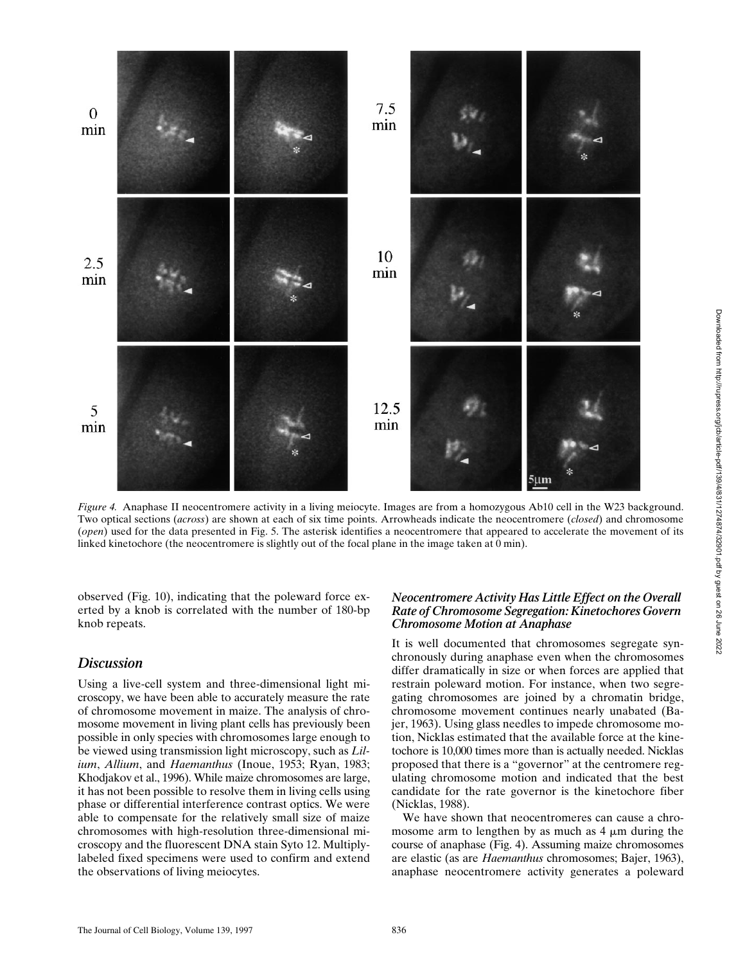

*Figure 4.* Anaphase II neocentromere activity in a living meiocyte. Images are from a homozygous Ab10 cell in the W23 background. Two optical sections (*across*) are shown at each of six time points. Arrowheads indicate the neocentromere (*closed*) and chromosome (*open*) used for the data presented in Fig. 5. The asterisk identifies a neocentromere that appeared to accelerate the movement of its linked kinetochore (the neocentromere is slightly out of the focal plane in the image taken at 0 min).

observed (Fig. 10), indicating that the poleward force exerted by a knob is correlated with the number of 180-bp knob repeats.

# *Discussion*

Using a live-cell system and three-dimensional light microscopy, we have been able to accurately measure the rate of chromosome movement in maize. The analysis of chromosome movement in living plant cells has previously been possible in only species with chromosomes large enough to be viewed using transmission light microscopy, such as *Lilium*, *Allium*, and *Haemanthus* (Inoue, 1953; Ryan, 1983; Khodjakov et al., 1996). While maize chromosomes are large, it has not been possible to resolve them in living cells using phase or differential interference contrast optics. We were able to compensate for the relatively small size of maize chromosomes with high-resolution three-dimensional microscopy and the fluorescent DNA stain Syto 12. Multiplylabeled fixed specimens were used to confirm and extend the observations of living meiocytes.

## *Neocentromere Activity Has Little Effect on the Overall Rate of Chromosome Segregation: Kinetochores Govern Chromosome Motion at Anaphase*

It is well documented that chromosomes segregate synchronously during anaphase even when the chromosomes differ dramatically in size or when forces are applied that restrain poleward motion. For instance, when two segregating chromosomes are joined by a chromatin bridge, chromosome movement continues nearly unabated (Bajer, 1963). Using glass needles to impede chromosome motion, Nicklas estimated that the available force at the kinetochore is 10,000 times more than is actually needed. Nicklas proposed that there is a "governor" at the centromere regulating chromosome motion and indicated that the best candidate for the rate governor is the kinetochore fiber (Nicklas, 1988).

We have shown that neocentromeres can cause a chromosome arm to lengthen by as much as  $4 \mu m$  during the course of anaphase (Fig. 4). Assuming maize chromosomes are elastic (as are *Haemanthus* chromosomes; Bajer, 1963), anaphase neocentromere activity generates a poleward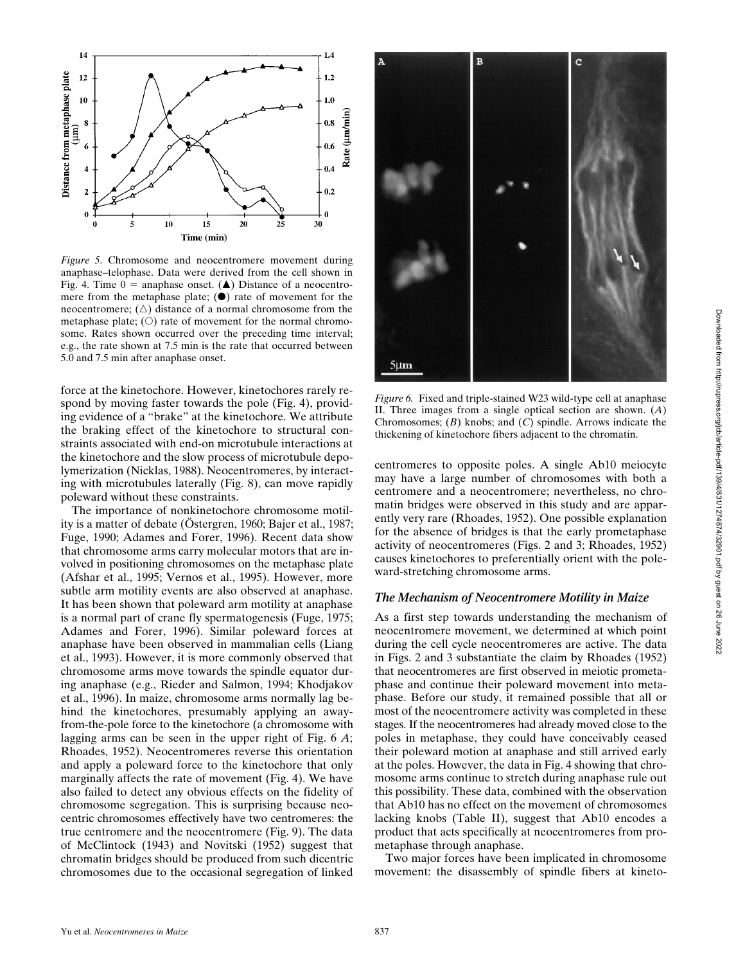

 $1.4$ 

 $1.2$ 

0.6

 $0.4$ 

 $0.2$ 

 $\mathbf{0}$ 

30

Rate (µm/min)  $0.8$ 

*Figure 5.* Chromosome and neocentromere movement during anaphase–telophase. Data were derived from the cell shown in Fig. 4. Time  $0 =$  anaphase onset. (A) Distance of a neocentromere from the metaphase plate;  $(\bullet)$  rate of movement for the neocentromere;  $(\triangle)$  distance of a normal chromosome from the metaphase plate;  $(O)$  rate of movement for the normal chromosome. Rates shown occurred over the preceding time interval; e.g., the rate shown at 7.5 min is the rate that occurred between 5.0 and 7.5 min after anaphase onset.

15

Time (min)

20

 $2\bar{5}$ 

14

 $12$ 

10

ş  $\binom{m}{k}$ 

6  $\overline{4}$ 

 $\overline{2}$ 

 $\bf{0}$ 

5

10

Distance from metaphase plate

force at the kinetochore. However, kinetochores rarely respond by moving faster towards the pole (Fig. 4), providing evidence of a "brake" at the kinetochore. We attribute the braking effect of the kinetochore to structural constraints associated with end-on microtubule interactions at the kinetochore and the slow process of microtubule depolymerization (Nicklas, 1988). Neocentromeres, by interacting with microtubules laterally (Fig. 8), can move rapidly poleward without these constraints.

The importance of nonkinetochore chromosome motility is a matter of debate (Östergren, 1960; Bajer et al., 1987; Fuge, 1990; Adames and Forer, 1996). Recent data show that chromosome arms carry molecular motors that are involved in positioning chromosomes on the metaphase plate (Afshar et al., 1995; Vernos et al., 1995). However, more subtle arm motility events are also observed at anaphase. It has been shown that poleward arm motility at anaphase is a normal part of crane fly spermatogenesis (Fuge, 1975; Adames and Forer, 1996). Similar poleward forces at anaphase have been observed in mammalian cells (Liang et al., 1993). However, it is more commonly observed that chromosome arms move towards the spindle equator during anaphase (e.g., Rieder and Salmon, 1994; Khodjakov et al., 1996). In maize, chromosome arms normally lag behind the kinetochores, presumably applying an awayfrom-the-pole force to the kinetochore (a chromosome with lagging arms can be seen in the upper right of Fig. 6 *A*; Rhoades, 1952). Neocentromeres reverse this orientation and apply a poleward force to the kinetochore that only marginally affects the rate of movement (Fig. 4). We have also failed to detect any obvious effects on the fidelity of chromosome segregation. This is surprising because neocentric chromosomes effectively have two centromeres: the true centromere and the neocentromere (Fig. 9). The data of McClintock (1943) and Novitski (1952) suggest that chromatin bridges should be produced from such dicentric chromosomes due to the occasional segregation of linked

*Figure 6.* Fixed and triple-stained W23 wild-type cell at anaphase II. Three images from a single optical section are shown. (*A*) Chromosomes; (*B*) knobs; and (*C*) spindle. Arrows indicate the thickening of kinetochore fibers adjacent to the chromatin.

 $\overline{C}$ 

centromeres to opposite poles. A single Ab10 meiocyte may have a large number of chromosomes with both a centromere and a neocentromere; nevertheless, no chromatin bridges were observed in this study and are apparently very rare (Rhoades, 1952). One possible explanation for the absence of bridges is that the early prometaphase activity of neocentromeres (Figs. 2 and 3; Rhoades, 1952) causes kinetochores to preferentially orient with the poleward-stretching chromosome arms.

#### *The Mechanism of Neocentromere Motility in Maize*

As a first step towards understanding the mechanism of neocentromere movement, we determined at which point during the cell cycle neocentromeres are active. The data in Figs. 2 and 3 substantiate the claim by Rhoades (1952) that neocentromeres are first observed in meiotic prometaphase and continue their poleward movement into metaphase. Before our study, it remained possible that all or most of the neocentromere activity was completed in these stages. If the neocentromeres had already moved close to the poles in metaphase, they could have conceivably ceased their poleward motion at anaphase and still arrived early at the poles. However, the data in Fig. 4 showing that chromosome arms continue to stretch during anaphase rule out this possibility. These data, combined with the observation that Ab10 has no effect on the movement of chromosomes lacking knobs (Table II), suggest that Ab10 encodes a product that acts specifically at neocentromeres from prometaphase through anaphase.

Two major forces have been implicated in chromosome movement: the disassembly of spindle fibers at kineto-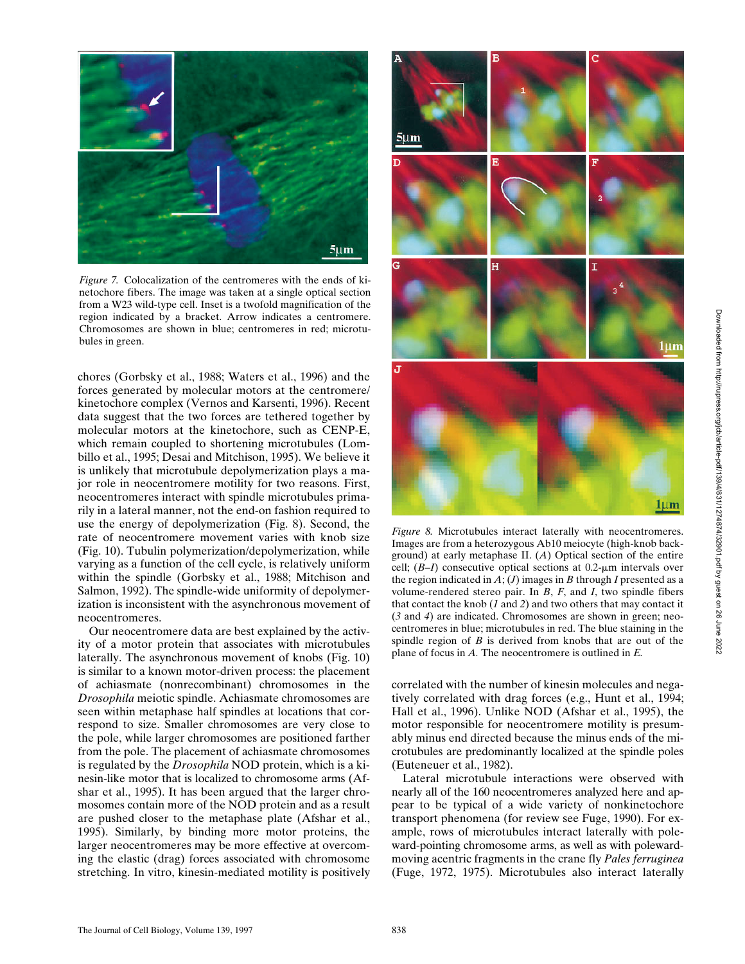

*Figure 7.* Colocalization of the centromeres with the ends of kinetochore fibers. The image was taken at a single optical section from a W23 wild-type cell. Inset is a twofold magnification of the region indicated by a bracket. Arrow indicates a centromere. Chromosomes are shown in blue; centromeres in red; microtubules in green.

chores (Gorbsky et al., 1988; Waters et al., 1996) and the forces generated by molecular motors at the centromere/ kinetochore complex (Vernos and Karsenti, 1996). Recent data suggest that the two forces are tethered together by molecular motors at the kinetochore, such as CENP-E, which remain coupled to shortening microtubules (Lombillo et al., 1995; Desai and Mitchison, 1995). We believe it is unlikely that microtubule depolymerization plays a major role in neocentromere motility for two reasons. First, neocentromeres interact with spindle microtubules primarily in a lateral manner, not the end-on fashion required to use the energy of depolymerization (Fig. 8). Second, the rate of neocentromere movement varies with knob size (Fig. 10). Tubulin polymerization/depolymerization, while varying as a function of the cell cycle, is relatively uniform within the spindle (Gorbsky et al., 1988; Mitchison and Salmon, 1992). The spindle-wide uniformity of depolymerization is inconsistent with the asynchronous movement of neocentromeres.

Our neocentromere data are best explained by the activity of a motor protein that associates with microtubules laterally. The asynchronous movement of knobs (Fig. 10) is similar to a known motor-driven process: the placement of achiasmate (nonrecombinant) chromosomes in the *Drosophila* meiotic spindle. Achiasmate chromosomes are seen within metaphase half spindles at locations that correspond to size. Smaller chromosomes are very close to the pole, while larger chromosomes are positioned farther from the pole. The placement of achiasmate chromosomes is regulated by the *Drosophila* NOD protein, which is a kinesin-like motor that is localized to chromosome arms (Afshar et al., 1995). It has been argued that the larger chromosomes contain more of the NOD protein and as a result are pushed closer to the metaphase plate (Afshar et al., 1995). Similarly, by binding more motor proteins, the larger neocentromeres may be more effective at overcoming the elastic (drag) forces associated with chromosome stretching. In vitro, kinesin-mediated motility is positively



*Figure 8.* Microtubules interact laterally with neocentromeres. Images are from a heterozygous Ab10 meiocyte (high-knob background) at early metaphase II. (*A*) Optical section of the entire cell;  $(B-I)$  consecutive optical sections at  $0.2$ - $\mu$ m intervals over the region indicated in  $A$ ;  $(J)$  images in  $B$  through  $I$  presented as a volume-rendered stereo pair. In *B*, *F*, and *I*, two spindle fibers that contact the knob (*1* and *2*) and two others that may contact it (*3* and *4*) are indicated. Chromosomes are shown in green; neocentromeres in blue; microtubules in red. The blue staining in the spindle region of *B* is derived from knobs that are out of the plane of focus in *A.* The neocentromere is outlined in *E.*

correlated with the number of kinesin molecules and negatively correlated with drag forces (e.g., Hunt et al., 1994; Hall et al., 1996). Unlike NOD (Afshar et al., 1995), the motor responsible for neocentromere motility is presumably minus end directed because the minus ends of the microtubules are predominantly localized at the spindle poles (Euteneuer et al., 1982).

Lateral microtubule interactions were observed with nearly all of the 160 neocentromeres analyzed here and appear to be typical of a wide variety of nonkinetochore transport phenomena (for review see Fuge, 1990). For example, rows of microtubules interact laterally with poleward-pointing chromosome arms, as well as with polewardmoving acentric fragments in the crane fly *Pales ferruginea* (Fuge, 1972, 1975). Microtubules also interact laterally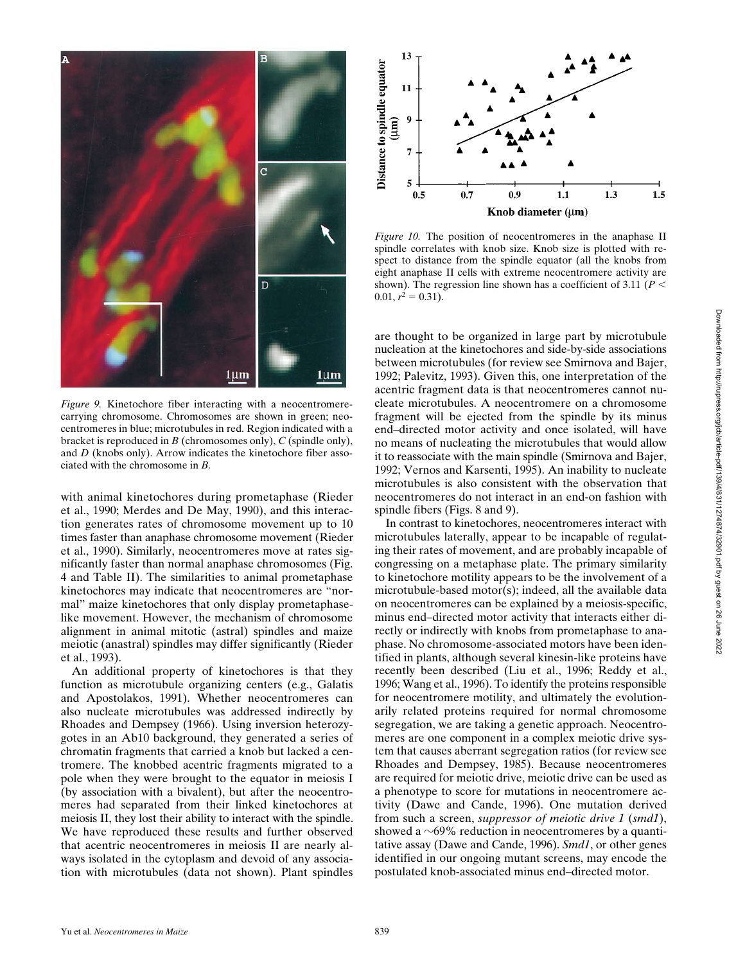

*Figure 9.* Kinetochore fiber interacting with a neocentromerecarrying chromosome. Chromosomes are shown in green; neocentromeres in blue; microtubules in red. Region indicated with a bracket is reproduced in *B* (chromosomes only), *C* (spindle only), and *D* (knobs only). Arrow indicates the kinetochore fiber associated with the chromosome in *B.*

with animal kinetochores during prometaphase (Rieder et al., 1990; Merdes and De May, 1990), and this interaction generates rates of chromosome movement up to 10 times faster than anaphase chromosome movement (Rieder et al., 1990). Similarly, neocentromeres move at rates significantly faster than normal anaphase chromosomes (Fig. 4 and Table II). The similarities to animal prometaphase kinetochores may indicate that neocentromeres are "normal" maize kinetochores that only display prometaphaselike movement. However, the mechanism of chromosome alignment in animal mitotic (astral) spindles and maize meiotic (anastral) spindles may differ significantly (Rieder et al., 1993).

An additional property of kinetochores is that they function as microtubule organizing centers (e.g., Galatis and Apostolakos, 1991). Whether neocentromeres can also nucleate microtubules was addressed indirectly by Rhoades and Dempsey (1966). Using inversion heterozygotes in an Ab10 background, they generated a series of chromatin fragments that carried a knob but lacked a centromere. The knobbed acentric fragments migrated to a pole when they were brought to the equator in meiosis I (by association with a bivalent), but after the neocentromeres had separated from their linked kinetochores at meiosis II, they lost their ability to interact with the spindle. We have reproduced these results and further observed that acentric neocentromeres in meiosis II are nearly always isolated in the cytoplasm and devoid of any association with microtubules (data not shown). Plant spindles



*Figure 10.* The position of neocentromeres in the anaphase II spindle correlates with knob size. Knob size is plotted with respect to distance from the spindle equator (all the knobs from eight anaphase II cells with extreme neocentromere activity are shown). The regression line shown has a coefficient of 3.11 ( $P$  <  $0.01, r^2 = 0.31$ .

are thought to be organized in large part by microtubule nucleation at the kinetochores and side-by-side associations between microtubules (for review see Smirnova and Bajer, 1992; Palevitz, 1993). Given this, one interpretation of the acentric fragment data is that neocentromeres cannot nucleate microtubules. A neocentromere on a chromosome fragment will be ejected from the spindle by its minus end–directed motor activity and once isolated, will have no means of nucleating the microtubules that would allow it to reassociate with the main spindle (Smirnova and Bajer, 1992; Vernos and Karsenti, 1995). An inability to nucleate microtubules is also consistent with the observation that neocentromeres do not interact in an end-on fashion with spindle fibers (Figs. 8 and 9).

In contrast to kinetochores, neocentromeres interact with microtubules laterally, appear to be incapable of regulating their rates of movement, and are probably incapable of congressing on a metaphase plate. The primary similarity to kinetochore motility appears to be the involvement of a microtubule-based motor(s); indeed, all the available data on neocentromeres can be explained by a meiosis-specific, minus end–directed motor activity that interacts either directly or indirectly with knobs from prometaphase to anaphase. No chromosome-associated motors have been identified in plants, although several kinesin-like proteins have recently been described (Liu et al., 1996; Reddy et al., 1996; Wang et al., 1996). To identify the proteins responsible for neocentromere motility, and ultimately the evolutionarily related proteins required for normal chromosome segregation, we are taking a genetic approach. Neocentromeres are one component in a complex meiotic drive system that causes aberrant segregation ratios (for review see Rhoades and Dempsey, 1985). Because neocentromeres are required for meiotic drive, meiotic drive can be used as a phenotype to score for mutations in neocentromere activity (Dawe and Cande, 1996). One mutation derived from such a screen, *suppressor of meiotic drive 1* (*smd1*), showed a  $\sim$ 69% reduction in neocentromeres by a quantitative assay (Dawe and Cande, 1996). *Smd1*, or other genes identified in our ongoing mutant screens, may encode the postulated knob-associated minus end–directed motor.